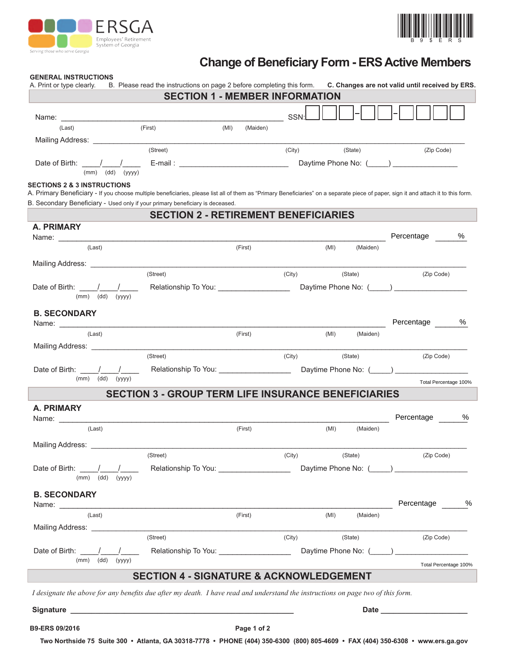



# **Change of Beneficiary Form - ERS Active Members**

#### **GENERAL INSTRUCTIONS**

| A. Print or type clearly.                                                                                                                                                                                                            | B. Please read the instructions on page 2 before completing this form. C. Changes are not valid until received by ERS.<br><b>SECTION 1 - MEMBER INFORMATION</b> |                        |        |        |          |                       |
|--------------------------------------------------------------------------------------------------------------------------------------------------------------------------------------------------------------------------------------|-----------------------------------------------------------------------------------------------------------------------------------------------------------------|------------------------|--------|--------|----------|-----------------------|
|                                                                                                                                                                                                                                      |                                                                                                                                                                 | <b>Example 19</b> SSN: |        |        |          |                       |
| (Last)                                                                                                                                                                                                                               | (First)                                                                                                                                                         | (MI)<br>(Maiden)       |        |        |          |                       |
| Mailing Address: National Address and Address and Address and Address and Address and Address and Address and A                                                                                                                      |                                                                                                                                                                 |                        |        |        |          |                       |
|                                                                                                                                                                                                                                      | (Street)                                                                                                                                                        |                        |        | (City) | (State)  | (Zip Code)            |
|                                                                                                                                                                                                                                      |                                                                                                                                                                 |                        |        |        |          |                       |
| $(mm)$ $(dd)$ $(yyyy)$                                                                                                                                                                                                               |                                                                                                                                                                 |                        |        |        |          |                       |
| <b>SECTIONS 2 &amp; 3 INSTRUCTIONS</b><br>A. Primary Beneficiary - If you choose multiple beneficiaries, please list all of them as "Primary Beneficiaries" on a separate piece of paper, sign it and attach it to this form.        |                                                                                                                                                                 |                        |        |        |          |                       |
| B. Secondary Beneficiary - Used only if your primary beneficiary is deceased.                                                                                                                                                        |                                                                                                                                                                 |                        |        |        |          |                       |
|                                                                                                                                                                                                                                      | <b>SECTION 2 - RETIREMENT BENEFICIARIES</b>                                                                                                                     |                        |        |        |          |                       |
| A. PRIMARY                                                                                                                                                                                                                           |                                                                                                                                                                 |                        |        |        |          |                       |
|                                                                                                                                                                                                                                      |                                                                                                                                                                 |                        |        |        |          | Percentage<br>%       |
| (Last)                                                                                                                                                                                                                               |                                                                                                                                                                 | (First)                |        | (MI)   | (Maiden) |                       |
|                                                                                                                                                                                                                                      |                                                                                                                                                                 |                        |        |        |          |                       |
|                                                                                                                                                                                                                                      | (Street)                                                                                                                                                        |                        | (City) |        | (State)  | (Zip Code)            |
| Date of Birth: $\frac{1}{\sqrt{2}}$                                                                                                                                                                                                  | Relationship To You: _____________________                                                                                                                      |                        |        |        |          |                       |
| $(mm)$ $(dd)$<br>(yyyy)                                                                                                                                                                                                              |                                                                                                                                                                 |                        |        |        |          |                       |
| <b>B. SECONDARY</b>                                                                                                                                                                                                                  |                                                                                                                                                                 |                        |        |        |          |                       |
| Name: __________                                                                                                                                                                                                                     |                                                                                                                                                                 |                        |        |        |          | Percentage %          |
| (Last)                                                                                                                                                                                                                               |                                                                                                                                                                 | (First)                |        | (MI)   | (Maiden) |                       |
| Mailing Address: _____________                                                                                                                                                                                                       | (Street)                                                                                                                                                        |                        | (City) |        | (State)  | (Zip Code)            |
| Date of Birth: \biggering \biggering \biggering \cdot \biggering \cdot \biggering \cdot \biggering \cdot \cdot \cdot \cdot \cdot \cdot \cdot \cdot \cdot \cdot \cdot \cdot \cdot \cdot \cdot \cdot \cdot \cdot \cdot \cdot \cd       |                                                                                                                                                                 |                        |        |        |          |                       |
| $(mm)$ $(dd)$ $(yyyy)$                                                                                                                                                                                                               |                                                                                                                                                                 |                        |        |        |          | Total Percentage 100% |
|                                                                                                                                                                                                                                      | <b>SECTION 3 - GROUP TERM LIFE INSURANCE BENEFICIARIES</b>                                                                                                      |                        |        |        |          |                       |
| <b>A. PRIMARY</b>                                                                                                                                                                                                                    |                                                                                                                                                                 |                        |        |        |          |                       |
|                                                                                                                                                                                                                                      |                                                                                                                                                                 |                        |        |        |          | Percentage %          |
| (Last)                                                                                                                                                                                                                               |                                                                                                                                                                 | (First)                |        | (MI)   | (Maiden) |                       |
| Mailing Address: _______________                                                                                                                                                                                                     |                                                                                                                                                                 |                        |        |        |          |                       |
|                                                                                                                                                                                                                                      | (Street)                                                                                                                                                        |                        | (City) |        | (State)  | (Zip Code)            |
| Date of Birth:                                                                                                                                                                                                                       | Relationship To You: 2008                                                                                                                                       |                        |        |        |          |                       |
| (mm)<br>(dd)<br>(yyyy)                                                                                                                                                                                                               |                                                                                                                                                                 |                        |        |        |          |                       |
| <b>B. SECONDARY</b>                                                                                                                                                                                                                  |                                                                                                                                                                 |                        |        |        |          |                       |
| Name: will be a series of the series of the series of the series of the series of the series of the series of the series of the series of the series of the series of the series of the series of the series of the series of        |                                                                                                                                                                 |                        |        |        |          | Percentage<br>%       |
| (Last)                                                                                                                                                                                                                               |                                                                                                                                                                 | (First)                |        | (MI)   | (Maiden) |                       |
|                                                                                                                                                                                                                                      |                                                                                                                                                                 |                        |        |        |          |                       |
|                                                                                                                                                                                                                                      | (Street)                                                                                                                                                        |                        | (City) |        | (State)  | (Zip Code)            |
| Date of Birth: /                                                                                                                                                                                                                     |                                                                                                                                                                 |                        |        |        |          |                       |
| $(mm)$ $(dd)$<br>(yyyy)                                                                                                                                                                                                              |                                                                                                                                                                 |                        |        |        |          | Total Percentage 100% |
|                                                                                                                                                                                                                                      | <b>SECTION 4 - SIGNATURE &amp; ACKNOWLEDGEMENT</b>                                                                                                              |                        |        |        |          |                       |
| I designate the above for any benefits due after my death. I have read and understand the instructions on page two of this form.                                                                                                     |                                                                                                                                                                 |                        |        |        |          |                       |
|                                                                                                                                                                                                                                      |                                                                                                                                                                 |                        |        |        |          |                       |
| Signature <b>contract of the Contract Contract of the Contract Contract Contract Contract Contract Contract Contract Contract Contract Contract Contract Contract Contract Contract Contract Contract Contract Contract Contract</b> |                                                                                                                                                                 |                        |        |        |          |                       |
| B9-ERS 09/2016                                                                                                                                                                                                                       |                                                                                                                                                                 | Page 1 of 2            |        |        |          |                       |

**Two Northside 75 Suite 300 • Atlanta, GA 30318-7778 • PHONE (404) 350-6300 (800) 805-4609 • FAX (404) 350-6308 • www.ers.ga.gov**